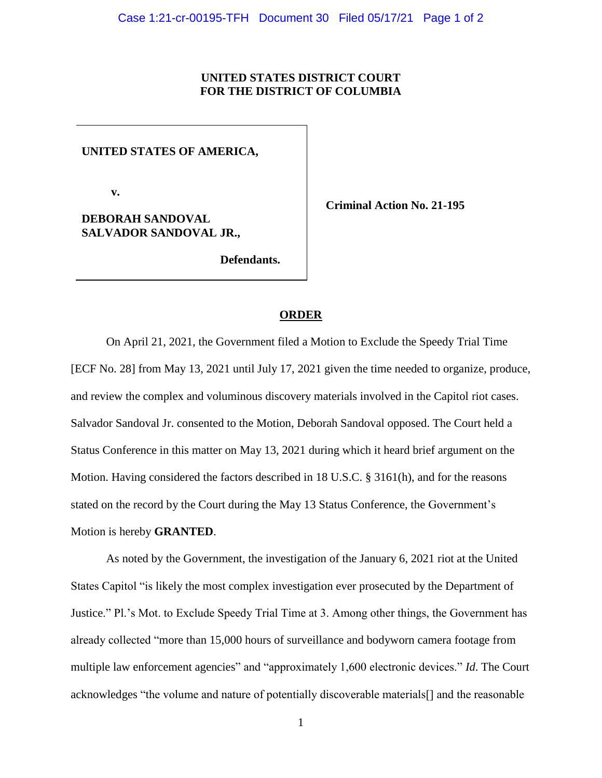## **UNITED STATES DISTRICT COURT FOR THE DISTRICT OF COLUMBIA**

**UNITED STATES OF AMERICA,**

 **v.**

**DEBORAH SANDOVAL SALVADOR SANDOVAL JR.,** **Criminal Action No. 21-195**

 **Defendants.**

## **ORDER**

On April 21, 2021, the Government filed a Motion to Exclude the Speedy Trial Time [ECF No. 28] from May 13, 2021 until July 17, 2021 given the time needed to organize, produce, and review the complex and voluminous discovery materials involved in the Capitol riot cases. Salvador Sandoval Jr. consented to the Motion, Deborah Sandoval opposed. The Court held a Status Conference in this matter on May 13, 2021 during which it heard brief argument on the Motion. Having considered the factors described in 18 U.S.C. § 3161(h), and for the reasons stated on the record by the Court during the May 13 Status Conference, the Government's Motion is hereby **GRANTED**.

As noted by the Government, the investigation of the January 6, 2021 riot at the United States Capitol "is likely the most complex investigation ever prosecuted by the Department of Justice." Pl.'s Mot. to Exclude Speedy Trial Time at 3. Among other things, the Government has already collected "more than 15,000 hours of surveillance and bodyworn camera footage from multiple law enforcement agencies" and "approximately 1,600 electronic devices." *Id*. The Court acknowledges "the volume and nature of potentially discoverable materials[] and the reasonable